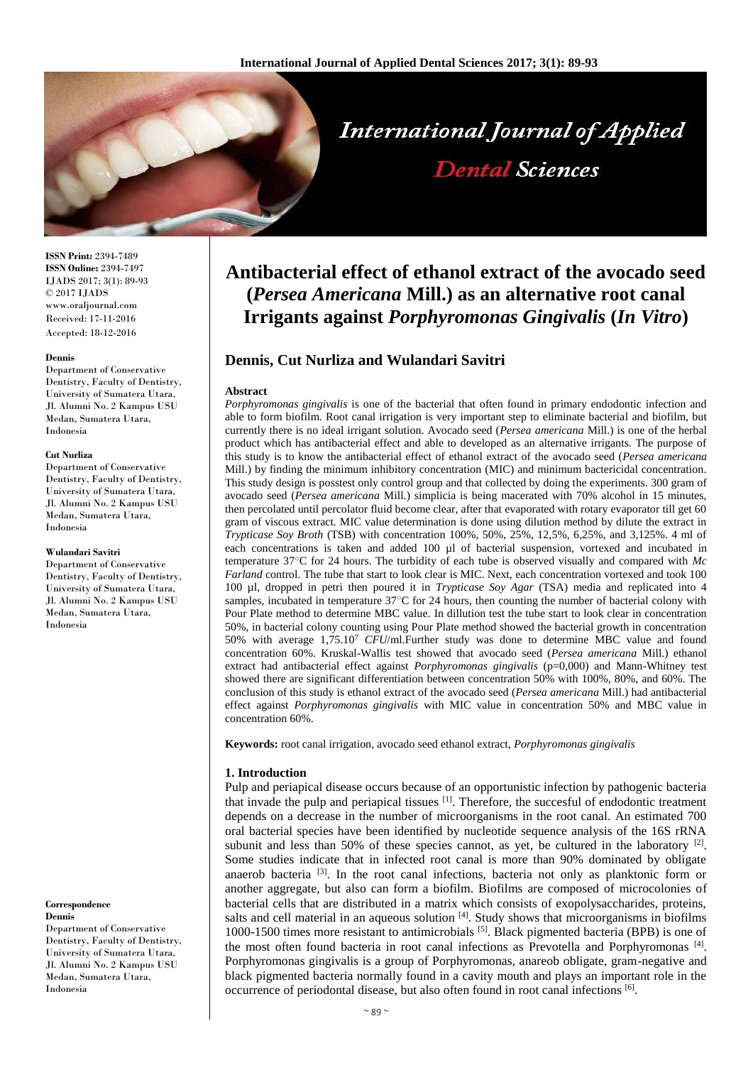

**ISSN Print:** 2394-7489 **ISSN Online:** 2394-7497 IJADS 2017; 3(1): 89-93 © 2017 IJADS www.oraljournal.com Received: 17-11-2016 Accepted: 18-12-2016

#### **Dennis**

Department of Conservative Dentistry, Faculty of Dentistry, University of Sumatera Utara, Jl. Alumni No. 2 Kampus USU Medan, Sumatera Utara, Indonesia

#### **Cut Nurliza**

Department of Conservative Dentistry, Faculty of Dentistry, University of Sumatera Utara, Jl. Alumni No. 2 Kampus USU Medan, Sumatera Utara, Indonesia

#### **Wulandari Savitri**

Department of Conservative Dentistry, Faculty of Dentistry, University of Sumatera Utara, Jl. Alumni No. 2 Kampus USU Medan, Sumatera Utara, Indonesia

#### **Correspondence Dennis**

Department of Conservative Dentistry, Faculty of Dentistry, University of Sumatera Utara, Jl. Alumni No. 2 Kampus USU Medan, Sumatera Utara, Indonesia

# **Antibacterial effect of ethanol extract of the avocado seed (***Persea Americana* **Mill.) as an alternative root canal Irrigants against** *Porphyromonas Gingivalis* **(***In Vitro***)**

# **Dennis, Cut Nurliza and Wulandari Savitri**

## **Abstract**

*Porphyromonas gingivalis* is one of the bacterial that often found in primary endodontic infection and able to form biofilm. Root canal irrigation is very important step to eliminate bacterial and biofilm, but currently there is no ideal irrigant solution. Avocado seed (*Persea americana* Mill.) is one of the herbal product which has antibacterial effect and able to developed as an alternative irrigants. The purpose of this study is to know the antibacterial effect of ethanol extract of the avocado seed (*Persea americana*  Mill.) by finding the minimum inhibitory concentration (MIC) and minimum bactericidal concentration. This study design is posstest only control group and that collected by doing the experiments. 300 gram of avocado seed (*Persea americana* Mill.) simplicia is being macerated with 70% alcohol in 15 minutes, then percolated until percolator fluid become clear, after that evaporated with rotary evaporator till get 60 gram of viscous extract. MIC value determination is done using dilution method by dilute the extract in *Trypticase Soy Broth* (TSB) with concentration 100%, 50%, 25%, 12,5%, 6,25%, and 3,125%. 4 ml of each concentrations is taken and added 100 µl of bacterial suspension, vortexed and incubated in temperature 37○C for 24 hours. The turbidity of each tube is observed visually and compared with *Mc Farland* control. The tube that start to look clear is MIC. Next, each concentration vortexed and took 100 100 µl, dropped in petri then poured it in *Trypticase Soy Agar* (TSA) media and replicated into 4 samples, incubated in temperature 37°C for 24 hours, then counting the number of bacterial colony with Pour Plate method to determine MBC value. In dillution test the tube start to look clear in concentration 50%, in bacterial colony counting using Pour Plate method showed the bacterial growth in concentration 50% with average 1,75.10<sup>7</sup> *CFU*/ml.Further study was done to determine MBC value and found concentration 60%. Kruskal-Wallis test showed that avocado seed (*Persea americana* Mill.) ethanol extract had antibacterial effect against *Porphyromonas gingivalis* (p=0,000) and Mann-Whitney test showed there are significant differentiation between concentration 50% with 100%, 80%, and 60%. The conclusion of this study is ethanol extract of the avocado seed (*Persea americana* Mill.) had antibacterial effect against *Porphyromonas gingivalis* with MIC value in concentration 50% and MBC value in concentration 60%.

**Keywords:** root canal irrigation, avocado seed ethanol extract, *Porphyromonas gingivalis*

## **1. Introduction**

Pulp and periapical disease occurs because of an opportunistic infection by pathogenic bacteria that invade the pulp and periapical tissues <sup>[1]</sup>. Therefore, the succesful of endodontic treatment depends on a decrease in the number of microorganisms in the root canal. An estimated 700 oral bacterial species have been identified by nucleotide sequence analysis of the 16S rRNA subunit and less than 50% of these species cannot, as yet, be cultured in the laboratory  $\lbrack^{2l} \rbrack$ . Some studies indicate that in infected root canal is more than 90% dominated by obligate anaerob bacteria<sup>[3]</sup>. In the root canal infections, bacteria not only as planktonic form or another aggregate, but also can form a biofilm. Biofilms are composed of microcolonies of bacterial cells that are distributed in a matrix which consists of exopolysaccharides, proteins, salts and cell material in an aqueous solution  $[4]$ . Study shows that microorganisms in biofilms 1000-1500 times more resistant to antimicrobials [5]. Black pigmented bacteria (BPB) is one of the most often found bacteria in root canal infections as Prevotella and Porphyromonas<sup>[4]</sup>. Porphyromonas gingivalis is a group of Porphyromonas, anareob obligate, gram-negative and black pigmented bacteria normally found in a cavity mouth and plays an important role in the occurrence of periodontal disease, but also often found in root canal infections [6].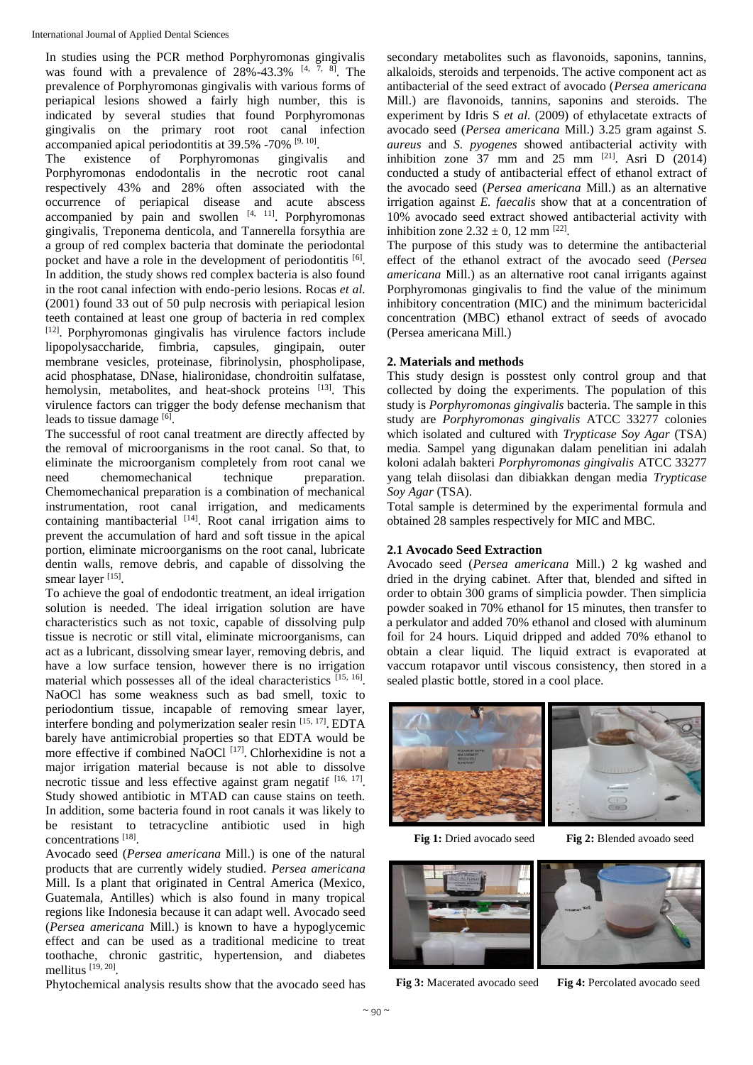In studies using the PCR method Porphyromonas gingivalis was found with a prevalence of  $28\% - 43.3\%$  [4, 7, 8]. The prevalence of Porphyromonas gingivalis with various forms of periapical lesions showed a fairly high number, this is indicated by several studies that found Porphyromonas gingivalis on the primary root root canal infection accompanied apical periodontitis at 39.5% -70% <sup>[9, 10]</sup>.

The existence of Porphyromonas gingivalis and Porphyromonas endodontalis in the necrotic root canal respectively 43% and 28% often associated with the occurrence of periapical disease and acute abscess accompanied by pain and swollen  $[4, 11]$ . Porphyromonas gingivalis, Treponema denticola, and Tannerella forsythia are a group of red complex bacteria that dominate the periodontal pocket and have a role in the development of periodontitis [6]. In addition, the study shows red complex bacteria is also found in the root canal infection with endo-perio lesions. Rocas *et al.* (2001) found 33 out of 50 pulp necrosis with periapical lesion teeth contained at least one group of bacteria in red complex [12] . Porphyromonas gingivalis has virulence factors include lipopolysaccharide, fimbria, capsules, gingipain, outer membrane vesicles, proteinase, fibrinolysin, phospholipase, acid phosphatase, DNase, hialironidase, chondroitin sulfatase, hemolysin, metabolites, and heat-shock proteins [13]. This virulence factors can trigger the body defense mechanism that leads to tissue damage [6].

The successful of root canal treatment are directly affected by the removal of microorganisms in the root canal. So that, to eliminate the microorganism completely from root canal we need chemomechanical technique preparation. Chemomechanical preparation is a combination of mechanical instrumentation, root canal irrigation, and medicaments containing mantibacterial  $[14]$ . Root canal irrigation aims to prevent the accumulation of hard and soft tissue in the apical portion, eliminate microorganisms on the root canal, lubricate dentin walls, remove debris, and capable of dissolving the smear layer [15].

To achieve the goal of endodontic treatment, an ideal irrigation solution is needed. The ideal irrigation solution are have characteristics such as not toxic, capable of dissolving pulp tissue is necrotic or still vital, eliminate microorganisms, can act as a lubricant, dissolving smear layer, removing debris, and have a low surface tension, however there is no irrigation material which possesses all of the ideal characteristics [15, 16]. NaOCl has some weakness such as bad smell, toxic to periodontium tissue, incapable of removing smear layer, interfere bonding and polymerization sealer resin [15, 17] . EDTA barely have antimicrobial properties so that EDTA would be more effective if combined NaOCl<sup>[17]</sup>. Chlorhexidine is not a major irrigation material because is not able to dissolve necrotic tissue and less effective against gram negatif  $[16, 17]$ . Study showed antibiotic in MTAD can cause stains on teeth. In addition, some bacteria found in root canals it was likely to be resistant to tetracycline antibiotic used in high concentrations [18] .

Avocado seed (*Persea americana* Mill.) is one of the natural products that are currently widely studied. *Persea americana* Mill. Is a plant that originated in Central America (Mexico, Guatemala, Antilles) which is also found in many tropical regions like Indonesia because it can adapt well. Avocado seed (*Persea americana* Mill.) is known to have a hypoglycemic effect and can be used as a traditional medicine to treat toothache, chronic gastritic, hypertension, and diabetes mellitus [19, 20].

Phytochemical analysis results show that the avocado seed has

secondary metabolites such as flavonoids, saponins, tannins, alkaloids, steroids and terpenoids. The active component act as antibacterial of the seed extract of avocado (*Persea americana* Mill.) are flavonoids, tannins, saponins and steroids. The experiment by Idris S *et al.* (2009) of ethylacetate extracts of avocado seed (*Persea americana* Mill.) 3.25 gram against *S. aureus* and *S. pyogenes* showed antibacterial activity with inhibition zone 37 mm and 25 mm  $[21]$ . Asri D (2014) conducted a study of antibacterial effect of ethanol extract of the avocado seed (*Persea americana* Mill.) as an alternative irrigation against *E. faecalis* show that at a concentration of 10% avocado seed extract showed antibacterial activity with inhibition zone  $2.32 \pm 0$ , 12 mm <sup>[22]</sup>.

The purpose of this study was to determine the antibacterial effect of the ethanol extract of the avocado seed (*Persea americana* Mill.) as an alternative root canal irrigants against Porphyromonas gingivalis to find the value of the minimum inhibitory concentration (MIC) and the minimum bactericidal concentration (MBC) ethanol extract of seeds of avocado (Persea americana Mill.)

# **2. Materials and methods**

This study design is posstest only control group and that collected by doing the experiments. The population of this study is *Porphyromonas gingivalis* bacteria. The sample in this study are *Porphyromonas gingivalis* ATCC 33277 colonies which isolated and cultured with *Trypticase Soy Agar* (TSA) media. Sampel yang digunakan dalam penelitian ini adalah koloni adalah bakteri *Porphyromonas gingivalis* ATCC 33277 yang telah diisolasi dan dibiakkan dengan media *Trypticase Soy Agar* (TSA).

Total sample is determined by the experimental formula and obtained 28 samples respectively for MIC and MBC.

# **2.1 Avocado Seed Extraction**

Avocado seed (*Persea americana* Mill.) 2 kg washed and dried in the drying cabinet. After that, blended and sifted in order to obtain 300 grams of simplicia powder. Then simplicia powder soaked in 70% ethanol for 15 minutes, then transfer to a perkulator and added 70% ethanol and closed with aluminum foil for 24 hours. Liquid dripped and added 70% ethanol to obtain a clear liquid. The liquid extract is evaporated at vaccum rotapavor until viscous consistency, then stored in a sealed plastic bottle, stored in a cool place.



**Fig 1:** Dried avocado seed **Fig 2:** Blended avoado seed



**Fig 3:** Macerated avocado seed **Fig 4:** Percolated avocado seed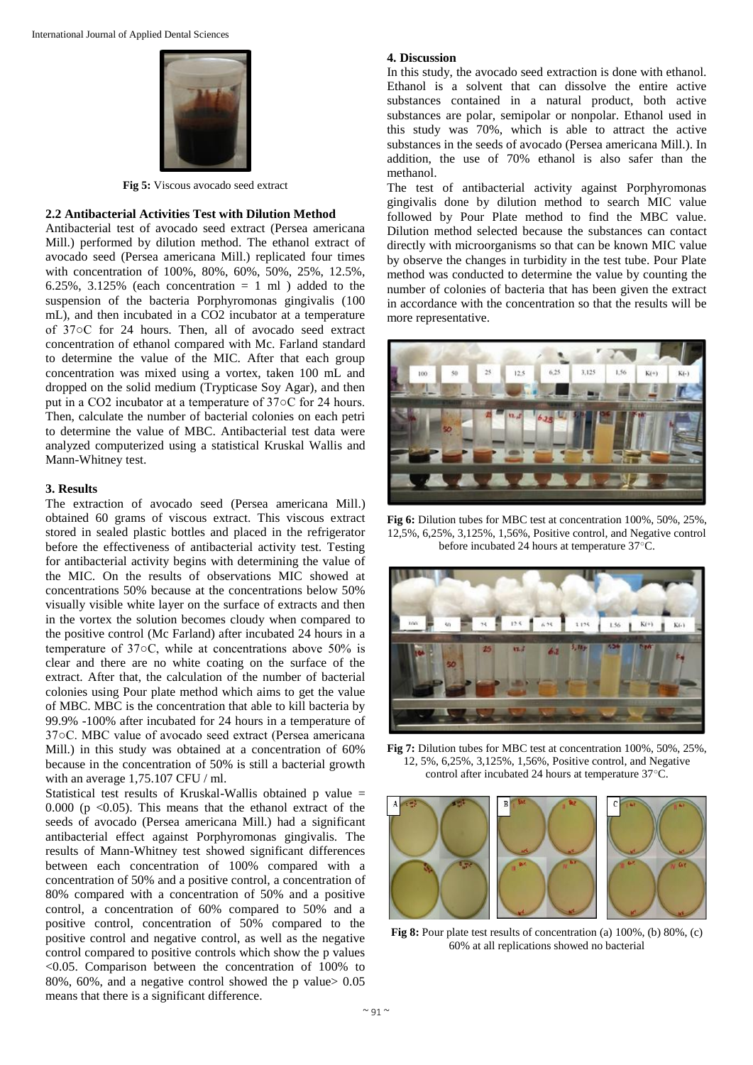

**Fig 5:** Viscous avocado seed extract

## **2.2 Antibacterial Activities Test with Dilution Method**

Antibacterial test of avocado seed extract (Persea americana Mill.) performed by dilution method. The ethanol extract of avocado seed (Persea americana Mill.) replicated four times with concentration of 100%, 80%, 60%, 50%, 25%, 12.5%, 6.25%, 3.125% (each concentration  $= 1$  ml) added to the suspension of the bacteria Porphyromonas gingivalis (100 mL), and then incubated in a CO2 incubator at a temperature of 37○C for 24 hours. Then, all of avocado seed extract concentration of ethanol compared with Mc. Farland standard to determine the value of the MIC. After that each group concentration was mixed using a vortex, taken 100 mL and dropped on the solid medium (Trypticase Soy Agar), and then put in a CO2 incubator at a temperature of 37○C for 24 hours. Then, calculate the number of bacterial colonies on each petri to determine the value of MBC. Antibacterial test data were analyzed computerized using a statistical Kruskal Wallis and Mann-Whitney test.

### **3. Results**

The extraction of avocado seed (Persea americana Mill.) obtained 60 grams of viscous extract. This viscous extract stored in sealed plastic bottles and placed in the refrigerator before the effectiveness of antibacterial activity test. Testing for antibacterial activity begins with determining the value of the MIC. On the results of observations MIC showed at concentrations 50% because at the concentrations below 50% visually visible white layer on the surface of extracts and then in the vortex the solution becomes cloudy when compared to the positive control (Mc Farland) after incubated 24 hours in a temperature of 37○C, while at concentrations above 50% is clear and there are no white coating on the surface of the extract. After that, the calculation of the number of bacterial colonies using Pour plate method which aims to get the value of MBC. MBC is the concentration that able to kill bacteria by 99.9% -100% after incubated for 24 hours in a temperature of 37○C. MBC value of avocado seed extract (Persea americana Mill.) in this study was obtained at a concentration of 60% because in the concentration of 50% is still a bacterial growth with an average 1,75.107 CFU / ml.

Statistical test results of Kruskal-Wallis obtained p value = 0.000 ( $p \le 0.05$ ). This means that the ethanol extract of the seeds of avocado (Persea americana Mill.) had a significant antibacterial effect against Porphyromonas gingivalis. The results of Mann-Whitney test showed significant differences between each concentration of 100% compared with a concentration of 50% and a positive control, a concentration of 80% compared with a concentration of 50% and a positive control, a concentration of 60% compared to 50% and a positive control, concentration of 50% compared to the positive control and negative control, as well as the negative control compared to positive controls which show the p values <0.05. Comparison between the concentration of 100% to 80%, 60%, and a negative control showed the p value> 0.05 means that there is a significant difference.

#### **4. Discussion**

In this study, the avocado seed extraction is done with ethanol. Ethanol is a solvent that can dissolve the entire active substances contained in a natural product, both active substances are polar, semipolar or nonpolar. Ethanol used in this study was 70%, which is able to attract the active substances in the seeds of avocado (Persea americana Mill.). In addition, the use of 70% ethanol is also safer than the methanol.

The test of antibacterial activity against Porphyromonas gingivalis done by dilution method to search MIC value followed by Pour Plate method to find the MBC value. Dilution method selected because the substances can contact directly with microorganisms so that can be known MIC value by observe the changes in turbidity in the test tube. Pour Plate method was conducted to determine the value by counting the number of colonies of bacteria that has been given the extract in accordance with the concentration so that the results will be more representative.



**Fig 6:** Dilution tubes for MBC test at concentration 100%, 50%, 25%, 12,5%, 6,25%, 3,125%, 1,56%, Positive control, and Negative control before incubated 24 hours at temperature 37○C.



**Fig 7:** Dilution tubes for MBC test at concentration 100%, 50%, 25%, 12, 5%, 6,25%, 3,125%, 1,56%, Positive control, and Negative control after incubated 24 hours at temperature 37○C.



**Fig 8:** Pour plate test results of concentration (a) 100%, (b) 80%, (c) 60% at all replications showed no bacterial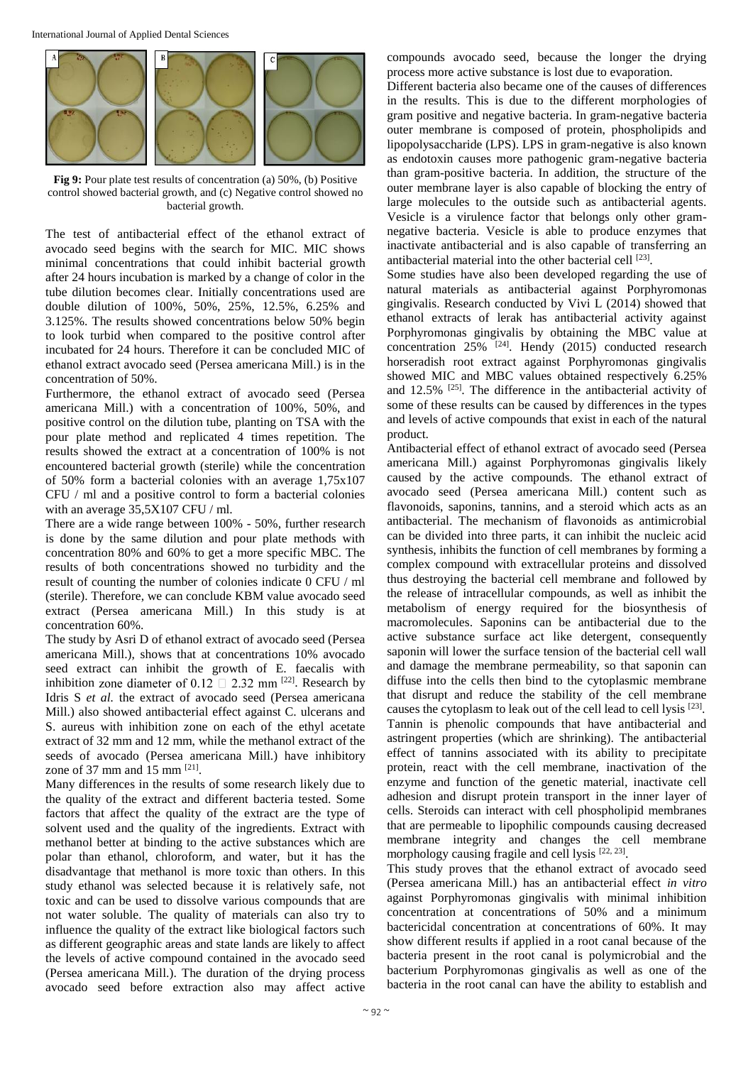

**Fig 9:** Pour plate test results of concentration (a) 50%, (b) Positive control showed bacterial growth, and (c) Negative control showed no bacterial growth.

The test of antibacterial effect of the ethanol extract of avocado seed begins with the search for MIC. MIC shows minimal concentrations that could inhibit bacterial growth after 24 hours incubation is marked by a change of color in the tube dilution becomes clear. Initially concentrations used are double dilution of 100%, 50%, 25%, 12.5%, 6.25% and 3.125%. The results showed concentrations below 50% begin to look turbid when compared to the positive control after incubated for 24 hours. Therefore it can be concluded MIC of ethanol extract avocado seed (Persea americana Mill.) is in the concentration of 50%.

Furthermore, the ethanol extract of avocado seed (Persea americana Mill.) with a concentration of 100%, 50%, and positive control on the dilution tube, planting on TSA with the pour plate method and replicated 4 times repetition. The results showed the extract at a concentration of 100% is not encountered bacterial growth (sterile) while the concentration of 50% form a bacterial colonies with an average 1,75x107 CFU / ml and a positive control to form a bacterial colonies with an average 35,5X107 CFU / ml.

There are a wide range between 100% - 50%, further research is done by the same dilution and pour plate methods with concentration 80% and 60% to get a more specific MBC. The results of both concentrations showed no turbidity and the result of counting the number of colonies indicate 0 CFU / ml (sterile). Therefore, we can conclude KBM value avocado seed extract (Persea americana Mill.) In this study is at concentration 60%.

The study by Asri D of ethanol extract of avocado seed (Persea americana Mill.), shows that at concentrations 10% avocado seed extract can inhibit the growth of E. faecalis with inhibition zone diameter of 0.12  $\Box$  2.32 mm <sup>[22]</sup>. Research by Idris S *et al.* the extract of avocado seed (Persea americana Mill.) also showed antibacterial effect against C. ulcerans and S. aureus with inhibition zone on each of the ethyl acetate extract of 32 mm and 12 mm, while the methanol extract of the seeds of avocado (Persea americana Mill.) have inhibitory zone of 37 mm and 15 mm  $^{[21]}$ .

Many differences in the results of some research likely due to the quality of the extract and different bacteria tested. Some factors that affect the quality of the extract are the type of solvent used and the quality of the ingredients. Extract with methanol better at binding to the active substances which are polar than ethanol, chloroform, and water, but it has the disadvantage that methanol is more toxic than others. In this study ethanol was selected because it is relatively safe, not toxic and can be used to dissolve various compounds that are not water soluble. The quality of materials can also try to influence the quality of the extract like biological factors such as different geographic areas and state lands are likely to affect the levels of active compound contained in the avocado seed (Persea americana Mill.). The duration of the drying process avocado seed before extraction also may affect active

compounds avocado seed, because the longer the drying process more active substance is lost due to evaporation.

Different bacteria also became one of the causes of differences in the results. This is due to the different morphologies of gram positive and negative bacteria. In gram-negative bacteria outer membrane is composed of protein, phospholipids and lipopolysaccharide (LPS). LPS in gram-negative is also known as endotoxin causes more pathogenic gram-negative bacteria than gram-positive bacteria. In addition, the structure of the outer membrane layer is also capable of blocking the entry of large molecules to the outside such as antibacterial agents. Vesicle is a virulence factor that belongs only other gramnegative bacteria. Vesicle is able to produce enzymes that inactivate antibacterial and is also capable of transferring an antibacterial material into the other bacterial cell [23].

Some studies have also been developed regarding the use of natural materials as antibacterial against Porphyromonas gingivalis. Research conducted by Vivi L (2014) showed that ethanol extracts of lerak has antibacterial activity against Porphyromonas gingivalis by obtaining the MBC value at concentration  $25\%$  <sup>[24]</sup>. Hendy (2015) conducted research horseradish root extract against Porphyromonas gingivalis showed MIC and MBC values obtained respectively 6.25% and  $12.5\%$  <sup>[25]</sup>. The difference in the antibacterial activity of some of these results can be caused by differences in the types and levels of active compounds that exist in each of the natural product.

Antibacterial effect of ethanol extract of avocado seed (Persea americana Mill.) against Porphyromonas gingivalis likely caused by the active compounds. The ethanol extract of avocado seed (Persea americana Mill.) content such as flavonoids, saponins, tannins, and a steroid which acts as an antibacterial. The mechanism of flavonoids as antimicrobial can be divided into three parts, it can inhibit the nucleic acid synthesis, inhibits the function of cell membranes by forming a complex compound with extracellular proteins and dissolved thus destroying the bacterial cell membrane and followed by the release of intracellular compounds, as well as inhibit the metabolism of energy required for the biosynthesis of macromolecules. Saponins can be antibacterial due to the active substance surface act like detergent, consequently saponin will lower the surface tension of the bacterial cell wall and damage the membrane permeability, so that saponin can diffuse into the cells then bind to the cytoplasmic membrane that disrupt and reduce the stability of the cell membrane causes the cytoplasm to leak out of the cell lead to cell lysis [23]. Tannin is phenolic compounds that have antibacterial and astringent properties (which are shrinking). The antibacterial effect of tannins associated with its ability to precipitate protein, react with the cell membrane, inactivation of the enzyme and function of the genetic material, inactivate cell adhesion and disrupt protein transport in the inner layer of cells. Steroids can interact with cell phospholipid membranes that are permeable to lipophilic compounds causing decreased membrane integrity and changes the cell membrane morphology causing fragile and cell lysis [22, 23].

This study proves that the ethanol extract of avocado seed (Persea americana Mill.) has an antibacterial effect *in vitro* against Porphyromonas gingivalis with minimal inhibition concentration at concentrations of 50% and a minimum bactericidal concentration at concentrations of 60%. It may show different results if applied in a root canal because of the bacteria present in the root canal is polymicrobial and the bacterium Porphyromonas gingivalis as well as one of the bacteria in the root canal can have the ability to establish and